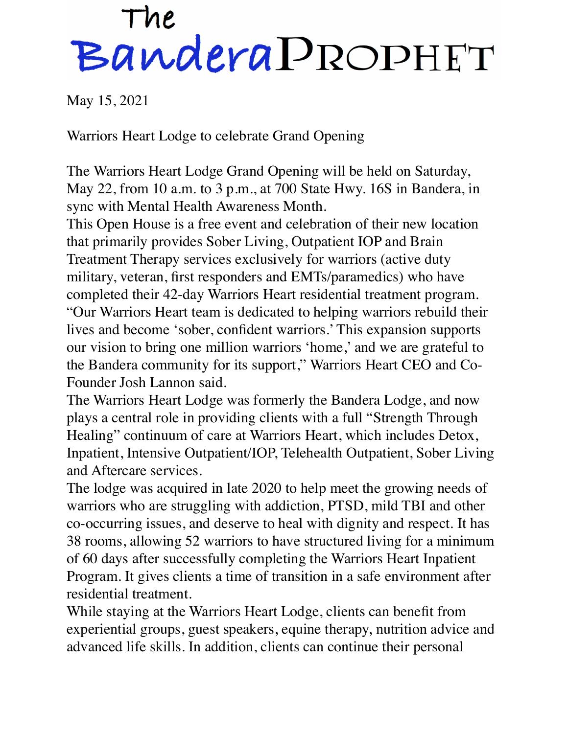## The<br>Bandera PROPHET

May 15, 2021

Warriors Heart Lodge to celebrate Grand Opening

The Warriors Heart Lodge Grand Opening will be held on Saturday, May 22, from 10 a.m. to 3 p.m., at 700 State Hwy. 16S in Bandera, in sync with Mental Health Awareness Month.

This Open House is a free event and celebration of their new location that primarily provides Sober Living, Outpatient IOP and Brain Treatment Therapy services exclusively for warriors (active duty military, veteran, first responders and EMTs/paramedics) who have completed their 42-day Warriors Heart residential treatment program. "Our Warriors Heart team is dedicated to helping warriors rebuild their lives and become 'sober, confident warriors.' This expansion supports our vision to bring one million warriors 'home,' and we are grateful to the Bandera community for its support," Warriors Heart CEO and Co-Founder Josh Lannon said.

The Warriors Heart Lodge was formerly the Bandera Lodge, and now plays a central role in providing clients with a full "Strength Through Healing" continuum of care at Warriors Heart, which includes Detox, Inpatient, Intensive Outpatient/IOP, Telehealth Outpatient, Sober Living and Aftercare services.

The lodge was acquired in late 2020 to help meet the growing needs of warriors who are struggling with addiction, PTSD, mild TBI and other co-occurring issues, and deserve to heal with dignity and respect. It has 38 rooms, allowing 52 warriors to have structured living for a minimum of 60 days after successfully completing the Warriors Heart Inpatient Program. It gives clients a time of transition in a safe environment after residential treatment.

While staying at the Warriors Heart Lodge, clients can benefit from experiential groups, guest speakers, equine therapy, nutrition advice and advanced life skills. In addition, clients can continue their personal